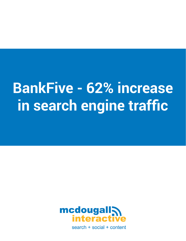# **BankFive - 62% increase in search engine traffic**



search + social + content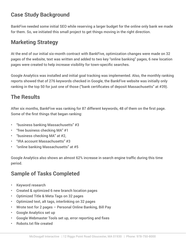#### **Case Study Background**

BankFive needed some initial SEO while reserving a larger budget for the online only bank we made for them. So, we initiated this small project to get things moving in the right direction.

## **Marketing Strategy**

At the end of our initial six-month contract with BankFive, optimization changes were made on 32 pages of the website, text was written and added to two key "online banking" pages, 6 new location pages were created to help increase visibility for town-specific searches.

Google Analytics was installed and initial goal tracking was implemented. Also, the monthly ranking reports showed that of 276 keywords checked in Google, the BankFive website was initially only ranking in the top 50 for just one of those ("bank certificates of deposit Massachusetts" at #39).

## **The Results**

After six months, BankFive was ranking for 87 different keywords, 48 of them on the first page. Some of the first things that began ranking:

- "business banking Massachusetts" #3
- "free business checking MA" #1
- "business checking MA" at #2,
- "IRA account Massachusetts" #3
- "online banking Massachusetts" at #5

Google Analytics also shows an almost 62% increase in search engine traffic during this time period.

### **Sample of Tasks Completed**

- Keyword research
- Created & optimized 6 new branch location pages
- Optimized Title & Meta Tags on 32 pages
- Optimized text, alt tags, interlinking on 32 pages
- Wrote text for 2 pages Personal Online Banking, Bill Pay
- Google Analytics set up
- Google Webmaster Tools set up, error reporting and fixes
- Robots txt file created